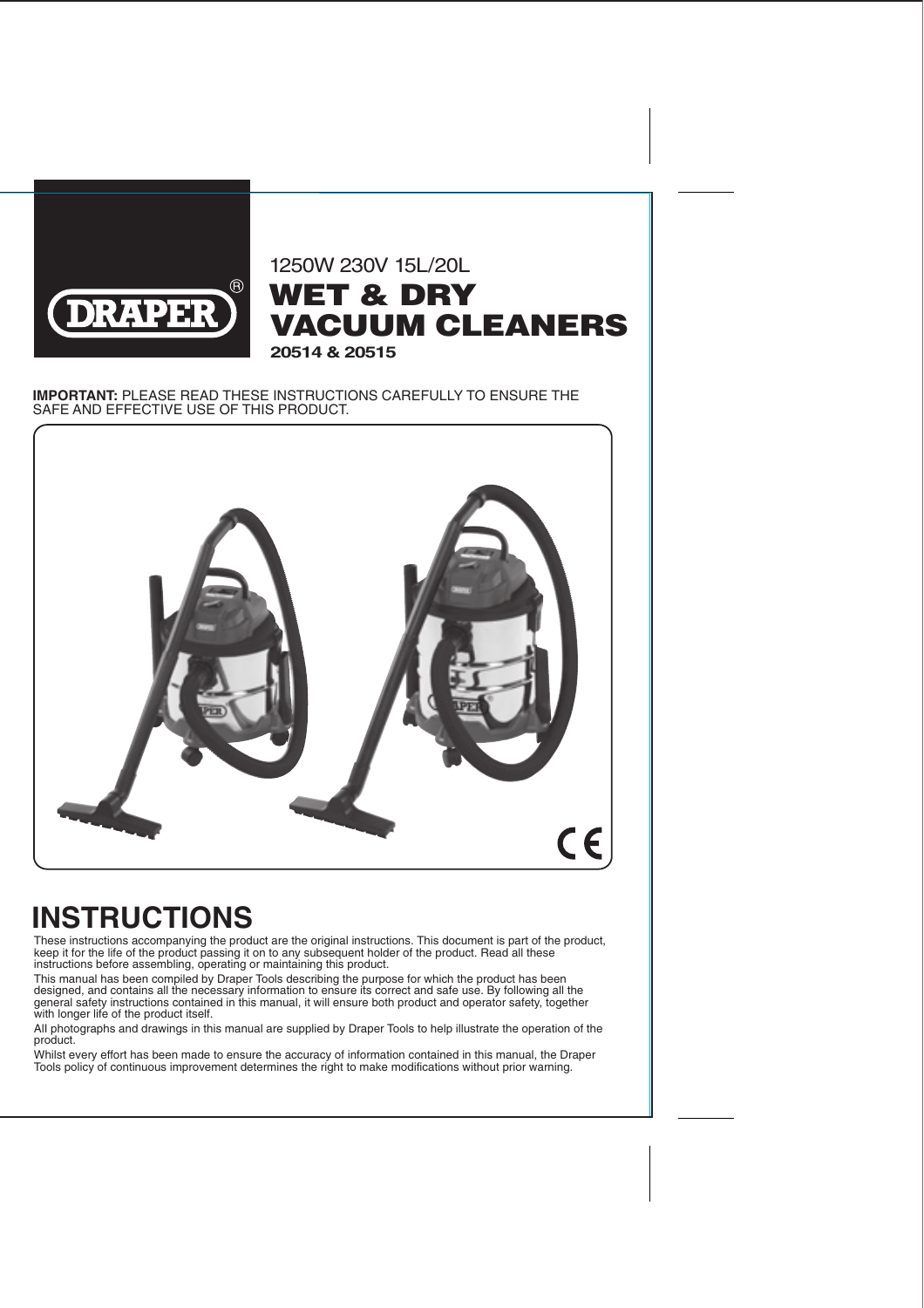

### 1250W 230V 15L/20L WET & DRY VACUUM CLEANERS **20514 & 20515**

#### **IMPORTANT:** PLEASE READ THESE INSTRUCTIONS CAREFULLY TO ENSURE THE SAFE AND EFFECTIVE USE OF THIS PRODUCT.



# **INSTRUCTIONS**

These instructions accompanying the product are the original instructions. This document is part of the product, keep it for the life of the product passing it on to any subsequent holder of the product. Read all these instructions before assembling, operating or maintaining this product.

This manual has been compiled by Draper Tools describing the purpose for which the product has been designed, and contains all the necessary information to ensure its correct and safe use. By following all the general safety instructions contained in this manual, it will ensure both product and operator safety, together with longer life of the product itself.

AlI photographs and drawings in this manual are supplied by Draper Tools to help illustrate the operation of the product.

Whilst every effort has been made to ensure the accuracy of information contained in this manual, the Draper Tools policy of continuous improvement determines the right to make modifications without prior warning.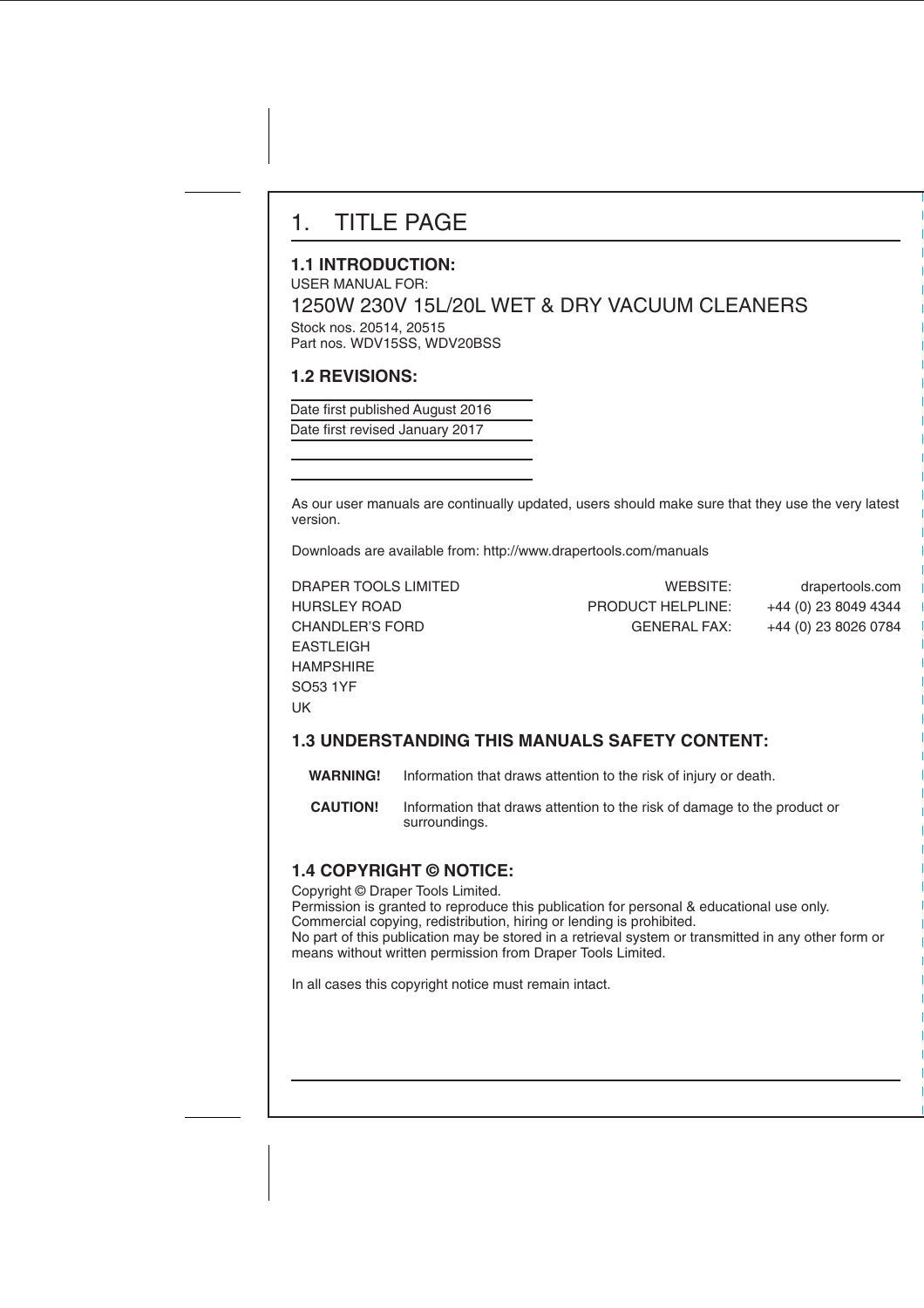# 1. TITLE PAGE

#### **1.1 INTRODUCTION:**

USER MANUAL FOR: 1250W 230V 15L/20L WET & DRY VACUUM CLEANERS

Stock nos. 20514, 20515 Part nos. WDV15SS, WDV20BSS

#### **1.2 REVISIONS:**

Date first published August 2016 Date first revised January 2017

As our user manuals are continually updated, users should make sure that they use the very latest version.

Downloads are available from: http://www.drapertools.com/manuals

| DRAPER TOOLS LIMITED   | WEBSITE:                 | drapertools.com      |
|------------------------|--------------------------|----------------------|
| <b>HURSLEY ROAD</b>    | <b>PRODUCT HELPLINE:</b> | +44 (0) 23 8049 4344 |
| <b>CHANDLER'S FORD</b> | <b>GENERAL FAX:</b>      | +44 (0) 23 8026 0784 |
| EASTLEIGH              |                          |                      |
| HAMPSHIRE              |                          |                      |
| SO53 1YF               |                          |                      |
| <b>UK</b>              |                          |                      |

#### **1.3 UNDERSTANDING THIS MANUALS SAFETY CONTENT:**

 **WARNING!** Information that draws attention to the risk of injury or death.

 **CAUTION!** Information that draws attention to the risk of damage to the product or surroundings.

#### **1.4 COPYRIGHT © NOTICE:**

Copyright © Draper Tools Limited.

Permission is granted to reproduce this publication for personal & educational use only. Commercial copying, redistribution, hiring or lending is prohibited. No part of this publication may be stored in a retrieval system or transmitted in any other form or means without written permission from Draper Tools Limited.

In all cases this copyright notice must remain intact.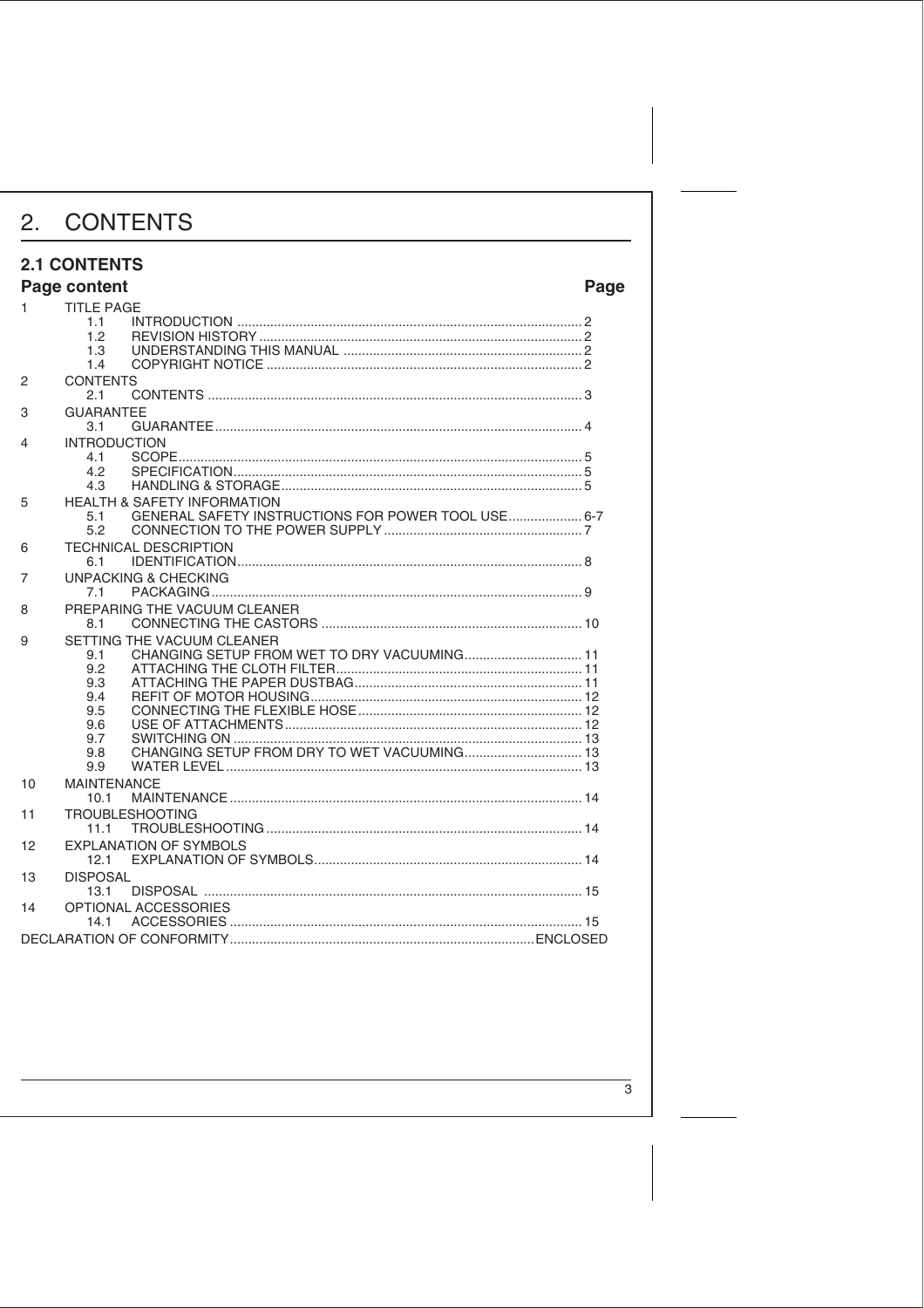#### **2.1 CONTENTS**

|    | Page content        |                                                                                              | Page |
|----|---------------------|----------------------------------------------------------------------------------------------|------|
| 1. | <b>TITLE PAGE</b>   |                                                                                              |      |
|    | 1.1                 |                                                                                              |      |
|    | 1.2                 |                                                                                              |      |
|    | 1.3                 |                                                                                              |      |
|    | 1.4                 |                                                                                              |      |
| 2  | <b>CONTENTS</b>     |                                                                                              |      |
|    | 2.1                 |                                                                                              |      |
| 3  | <b>GUARANTEE</b>    |                                                                                              |      |
|    | 3.1                 |                                                                                              |      |
| 4  | <b>INTRODUCTION</b> |                                                                                              |      |
|    | 4.1                 |                                                                                              |      |
|    | 4.2                 |                                                                                              |      |
|    | 4.3                 |                                                                                              |      |
| 5  |                     | <b>HEALTH &amp; SAFETY INFORMATION</b><br>GENERAL SAFETY INSTRUCTIONS FOR POWER TOOL USE 6-7 |      |
|    | 5.1<br>5.2          |                                                                                              |      |
|    |                     |                                                                                              |      |
| 6  | 6.1                 | <b>TECHNICAL DESCRIPTION</b>                                                                 |      |
|    |                     |                                                                                              |      |
| 7  | 7.1                 | <b>UNPACKING &amp; CHECKING</b>                                                              |      |
|    |                     |                                                                                              |      |
| 8  |                     | PREPARING THE VACUUM CLEANER                                                                 |      |
|    | 8.1                 |                                                                                              |      |
| 9  |                     | SETTING THE VACUUM CLEANER                                                                   |      |
|    | 9.1<br>9.2          | CHANGING SETUP FROM WET TO DRY VACUUMING 11                                                  |      |
|    | 9.3                 |                                                                                              |      |
|    | 9.4                 |                                                                                              |      |
|    | 9.5                 |                                                                                              |      |
|    | 9.6                 |                                                                                              |      |
|    | 9.7                 |                                                                                              |      |
|    | 9.8                 |                                                                                              |      |
|    | 9.9                 |                                                                                              |      |
| 10 | <b>MAINTENANCE</b>  |                                                                                              |      |
|    | 10.1                |                                                                                              |      |
| 11 |                     | <b>TROUBLESHOOTING</b>                                                                       |      |
|    | 11.1                |                                                                                              |      |
| 12 |                     | <b>EXPLANATION OF SYMBOLS</b>                                                                |      |
|    | 12.1                |                                                                                              |      |
| 13 | <b>DISPOSAL</b>     |                                                                                              |      |
|    | 13.1                |                                                                                              |      |
| 14 |                     | OPTIONAL ACCESSORIES                                                                         |      |
|    | 14.1                |                                                                                              |      |
|    |                     |                                                                                              |      |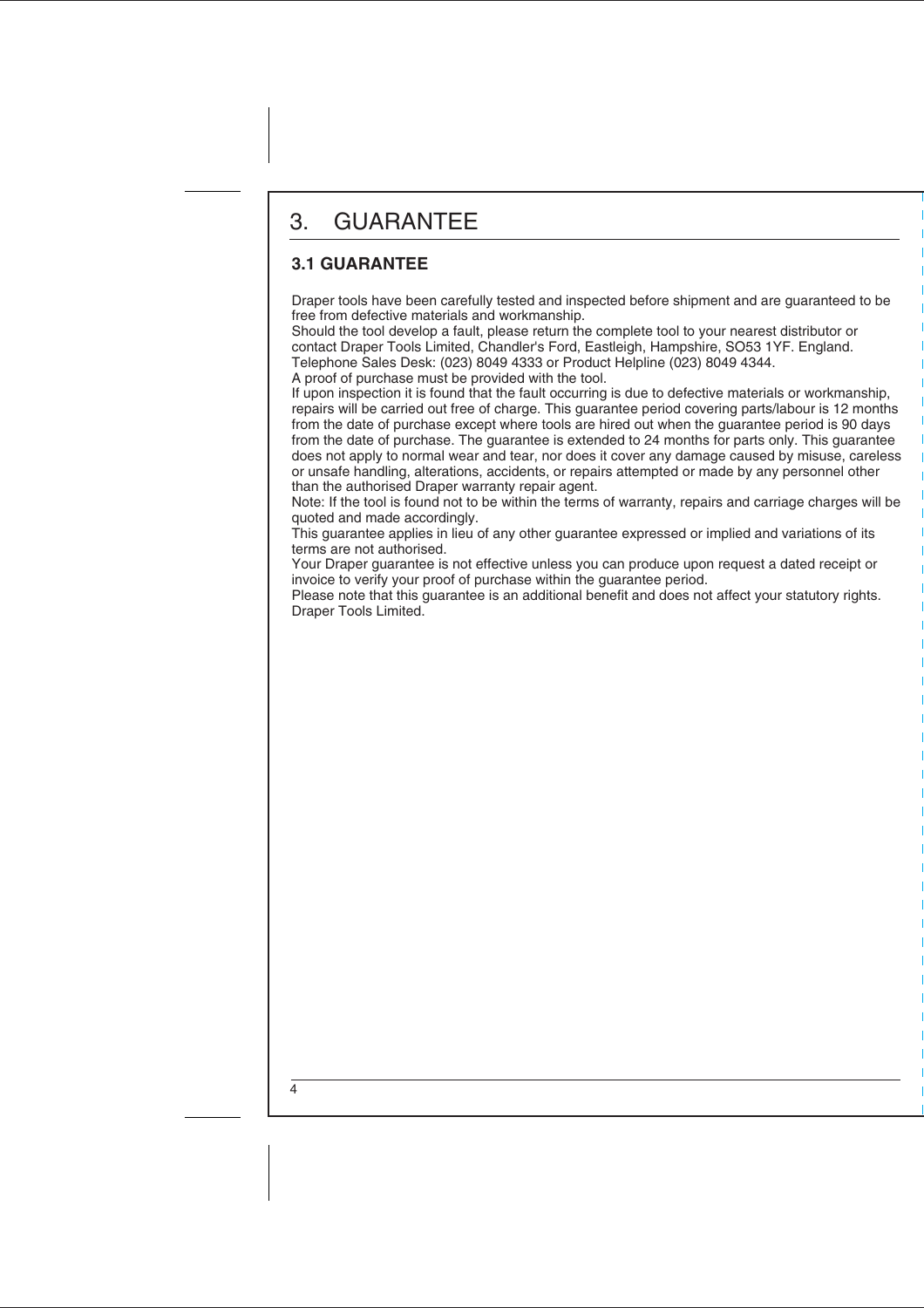# 3. GUARANTEE

### **3.1 GUARANTEE**

Draper tools have been carefully tested and inspected before shipment and are guaranteed to be free from defective materials and workmanship.

Should the tool develop a fault, please return the complete tool to your nearest distributor or contact Draper Tools Limited, Chandler's Ford, Eastleigh, Hampshire, SO53 1YF. England. Telephone Sales Desk: (023) 8049 4333 or Product Helpline (023) 8049 4344.

A proof of purchase must be provided with the tool.

If upon inspection it is found that the fault occurring is due to defective materials or workmanship, repairs will be carried out free of charge. This guarantee period covering parts/labour is 12 months from the date of purchase except where tools are hired out when the guarantee period is 90 days from the date of purchase. The guarantee is extended to 24 months for parts only. This guarantee does not apply to normal wear and tear, nor does it cover any damage caused by misuse, careless or unsafe handling, alterations, accidents, or repairs attempted or made by any personnel other than the authorised Draper warranty repair agent.

Note: If the tool is found not to be within the terms of warranty, repairs and carriage charges will be quoted and made accordingly.

This guarantee applies in lieu of any other guarantee expressed or implied and variations of its terms are not authorised.

Your Draper guarantee is not effective unless you can produce upon request a dated receipt or invoice to verify your proof of purchase within the guarantee period.

Please note that this guarantee is an additional benefit and does not affect your statutory rights. Draper Tools Limited.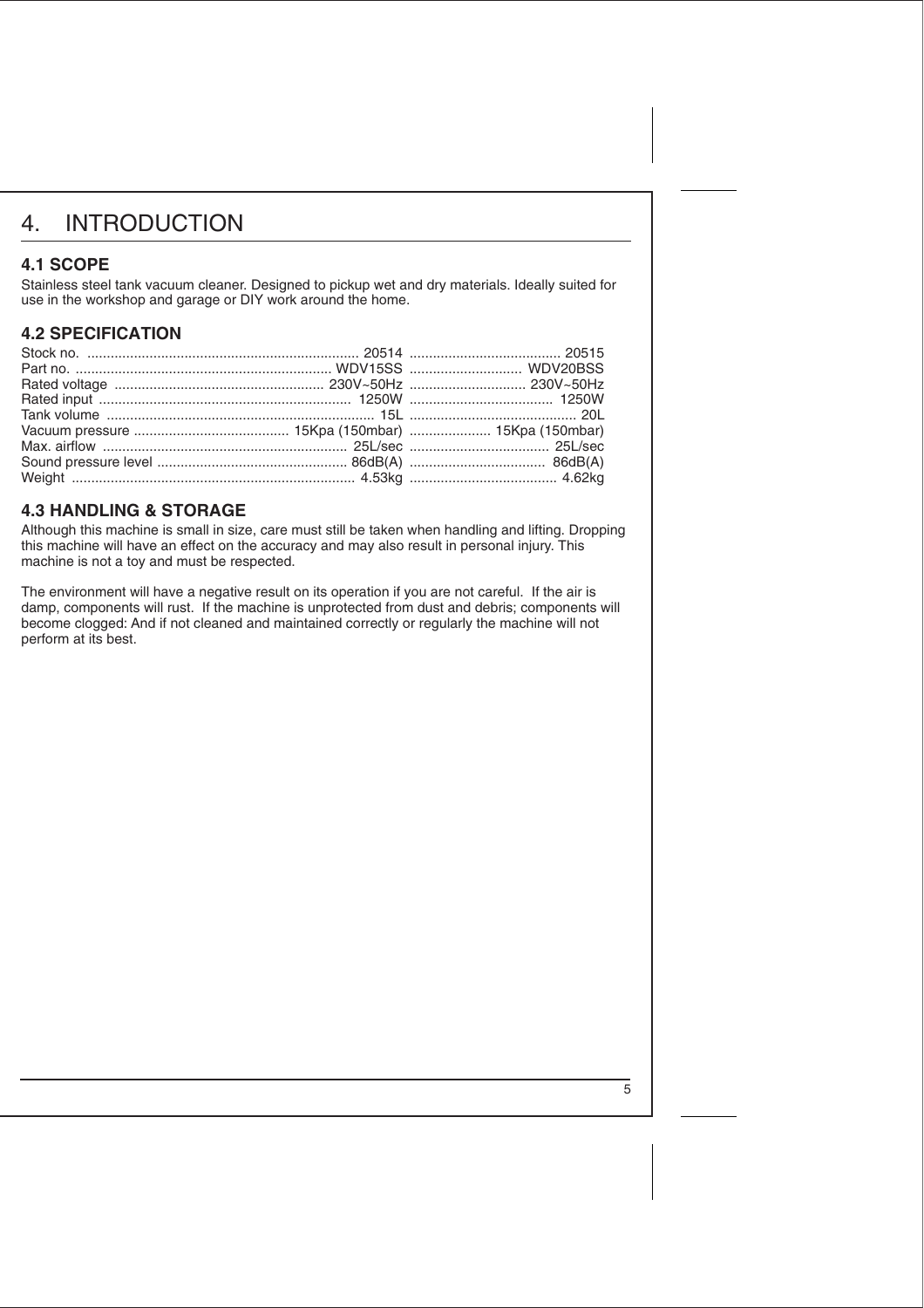# 4. INTRODUCTION

#### **4.1 SCOPE**

Stainless steel tank vacuum cleaner. Designed to pickup wet and dry materials. Ideally suited for use in the workshop and garage or DIY work around the home.

#### **4.2 SPECIFICATION**

#### **4.3 HANDLING & STORAGE**

Although this machine is small in size, care must still be taken when handling and lifting. Dropping this machine will have an effect on the accuracy and may also result in personal injury. This machine is not a toy and must be respected.

The environment will have a negative result on its operation if you are not careful. If the air is damp, components will rust. If the machine is unprotected from dust and debris; components will become clogged: And if not cleaned and maintained correctly or regularly the machine will not perform at its best.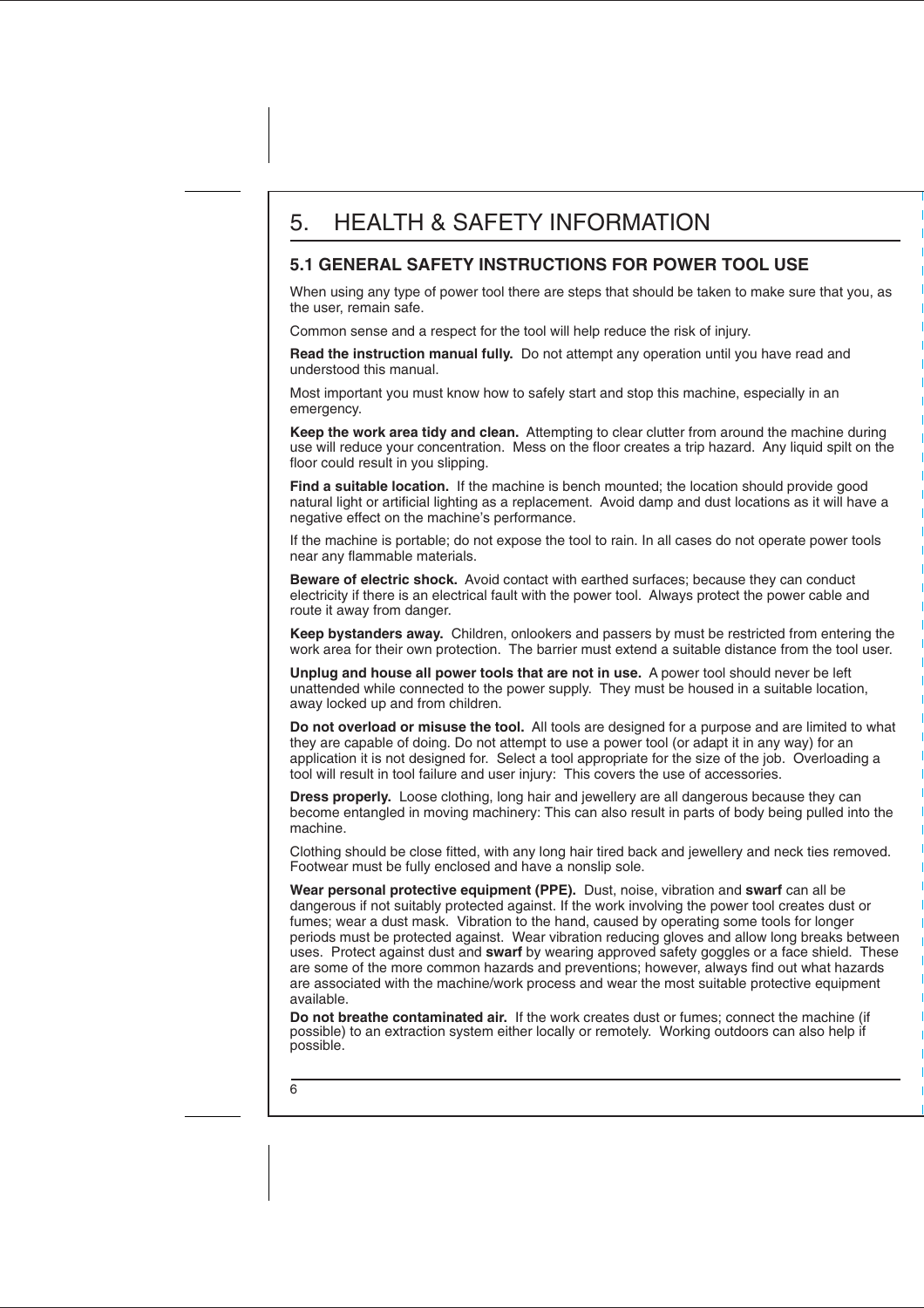#### **5.1 GENERAL SAFETY INSTRUCTIONS FOR POWER TOOL USE**

When using any type of power tool there are steps that should be taken to make sure that you, as the user, remain safe.

Common sense and a respect for the tool will help reduce the risk of injury.

**Read the instruction manual fully.** Do not attempt any operation until you have read and understood this manual.

Most important you must know how to safely start and stop this machine, especially in an emergency.

**Keep the work area tidy and clean.** Attempting to clear clutter from around the machine during use will reduce your concentration. Mess on the floor creates a trip hazard. Any liquid spilt on the floor could result in you slipping.

**Find a suitable location.** If the machine is bench mounted; the location should provide good natural light or artificial lighting as a replacement. Avoid damp and dust locations as it will have a negative effect on the machine's performance.

If the machine is portable; do not expose the tool to rain. In all cases do not operate power tools near any flammable materials.

**Beware of electric shock.** Avoid contact with earthed surfaces; because they can conduct electricity if there is an electrical fault with the power tool. Always protect the power cable and route it away from danger.

**Keep bystanders away.** Children, onlookers and passers by must be restricted from entering the work area for their own protection. The barrier must extend a suitable distance from the tool user.

**Unplug and house all power tools that are not in use.** A power tool should never be left unattended while connected to the power supply. They must be housed in a suitable location, away locked up and from children.

**Do not overload or misuse the tool.** All tools are designed for a purpose and are limited to what they are capable of doing. Do not attempt to use a power tool (or adapt it in any way) for an application it is not designed for. Select a tool appropriate for the size of the job. Overloading a tool will result in tool failure and user injury: This covers the use of accessories.

**Dress properly.** Loose clothing, long hair and jewellery are all dangerous because they can become entangled in moving machinery: This can also result in parts of body being pulled into the machine.

Clothing should be close fitted, with any long hair tired back and jewellery and neck ties removed. Footwear must be fully enclosed and have a nonslip sole.

**Wear personal protective equipment (PPE).** Dust, noise, vibration and **swarf** can all be dangerous if not suitably protected against. If the work involving the power tool creates dust or fumes; wear a dust mask. Vibration to the hand, caused by operating some tools for longer periods must be protected against. Wear vibration reducing gloves and allow long breaks between uses. Protect against dust and **swarf** by wearing approved safety goggles or a face shield. These are some of the more common hazards and preventions; however, always find out what hazards are associated with the machine/work process and wear the most suitable protective equipment available.

**Do not breathe contaminated air.** If the work creates dust or fumes; connect the machine (if possible) to an extraction system either locally or remotely. Working outdoors can also help if possible.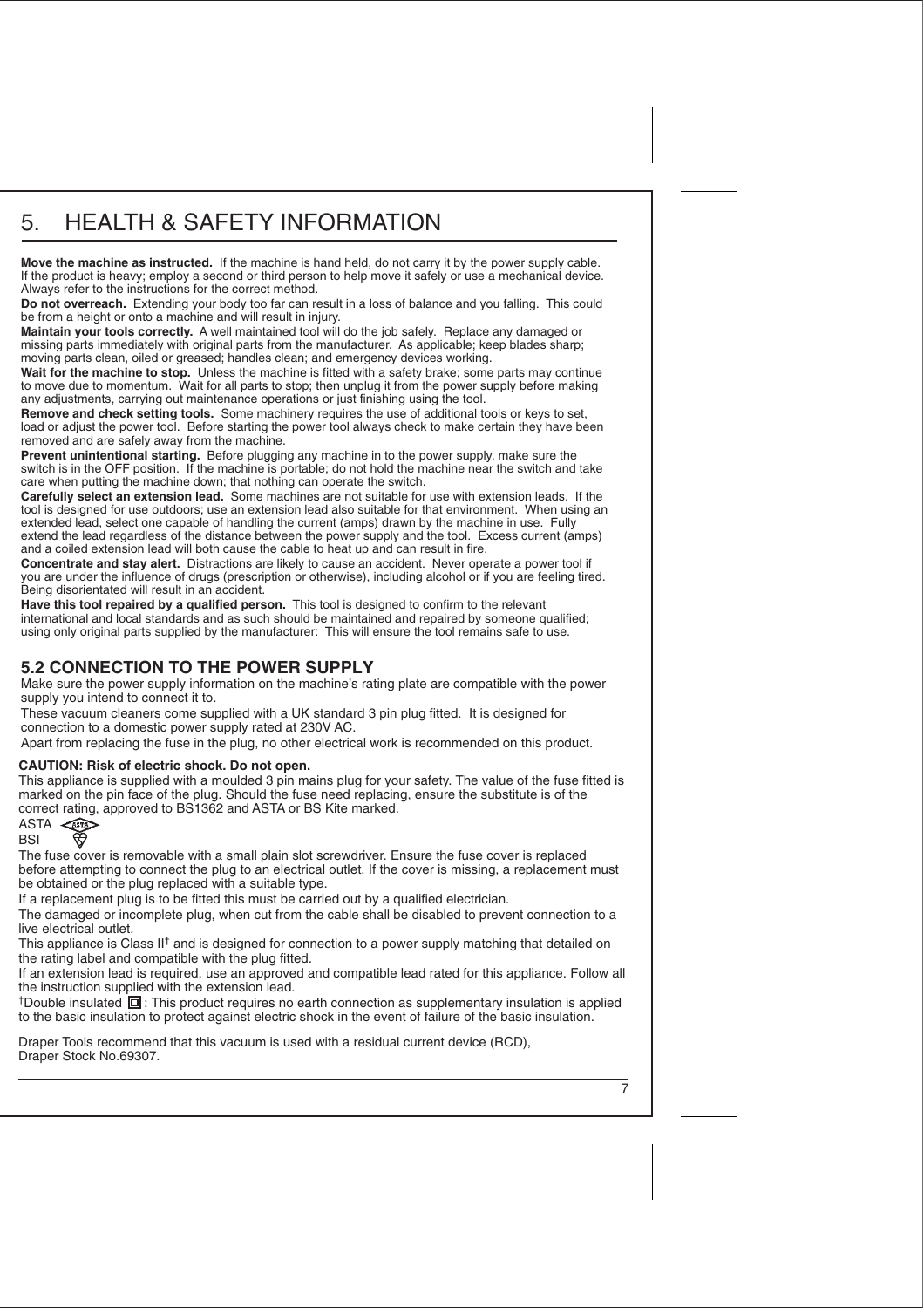# 5. HEALTH & SAFETY INFORMATION

**Move the machine as instructed.** If the machine is hand held, do not carry it by the power supply cable. If the product is heavy; employ a second or third person to help move it safely or use a mechanical device. Always refer to the instructions for the correct method.

**Do not overreach.** Extending your body too far can result in a loss of balance and you falling. This could be from a height or onto a machine and will result in injury.

**Maintain your tools correctly.** A well maintained tool will do the job safely. Replace any damaged or missing parts immediately with original parts from the manufacturer. As applicable; keep blades sharp; moving parts clean, oiled or greased; handles clean; and emergency devices working.

**Wait for the machine to stop.** Unless the machine is fitted with a safety brake; some parts may continue to move due to momentum. Wait for all parts to stop; then unplug it from the power supply before making any adjustments, carrying out maintenance operations or just finishing using the tool.

**Remove and check setting tools.** Some machinery requires the use of additional tools or keys to set. load or adjust the power tool. Before starting the power tool always check to make certain they have been removed and are safely away from the machine.

**Prevent unintentional starting.** Before plugging any machine in to the power supply, make sure the switch is in the OFF position. If the machine is portable; do not hold the machine near the switch and take care when putting the machine down; that nothing can operate the switch.

**Carefully select an extension lead.** Some machines are not suitable for use with extension leads. If the tool is designed for use outdoors; use an extension lead also suitable for that environment. When using an extended lead, select one capable of handling the current (amps) drawn by the machine in use. Fully extend the lead regardless of the distance between the power supply and the tool. Excess current (amps) and a coiled extension lead will both cause the cable to heat up and can result in fire.

**Concentrate and stay alert.** Distractions are likely to cause an accident. Never operate a power tool if you are under the influence of drugs (prescription or otherwise), including alcohol or if you are feeling tired. Being disorientated will result in an accident.

**Have this tool repaired by a qualified person.** This tool is designed to confirm to the relevant international and local standards and as such should be maintained and repaired by someone qualified; using only original parts supplied by the manufacturer: This will ensure the tool remains safe to use.

#### **5.2 CONNECTION TO THE POWER SUPPLY**

Make sure the power supply information on the machine's rating plate are compatible with the power supply you intend to connect it to.

These vacuum cleaners come supplied with a UK standard 3 pin plug fitted. It is designed for connection to a domestic power supply rated at 230V AC.

Apart from replacing the fuse in the plug, no other electrical work is recommended on this product.

#### **CAUTION: Risk of electric shock. Do not open.**

This appliance is supplied with a moulded 3 pin mains plug for your safety. The value of the fuse fitted is marked on the pin face of the plug. Should the fuse need replacing, ensure the substitute is of the correct rating, approved to BS1362 and ASTA or BS Kite marked.

ASTA <ASTA **BSI** 

The fuse cover is removable with a small plain slot screwdriver. Ensure the fuse cover is replaced before attempting to connect the plug to an electrical outlet. If the cover is missing, a replacement must be obtained or the plug replaced with a suitable type.

If a replacement plug is to be fitted this must be carried out by a qualified electrician.

The damaged or incomplete plug, when cut from the cable shall be disabled to prevent connection to a live electrical outlet.

This appliance is Class II<sup>†</sup> and is designed for connection to a power supply matching that detailed on the rating label and compatible with the plug fitted.

If an extension lead is required, use an approved and compatible lead rated for this appliance. Follow all the instruction supplied with the extension lead.

 $\dagger$ Double insulated  $\Box$ : This product requires no earth connection as supplementary insulation is applied to the basic insulation to protect against electric shock in the event of failure of the basic insulation.

Draper Tools recommend that this vacuum is used with a residual current device (RCD), Draper Stock No.69307.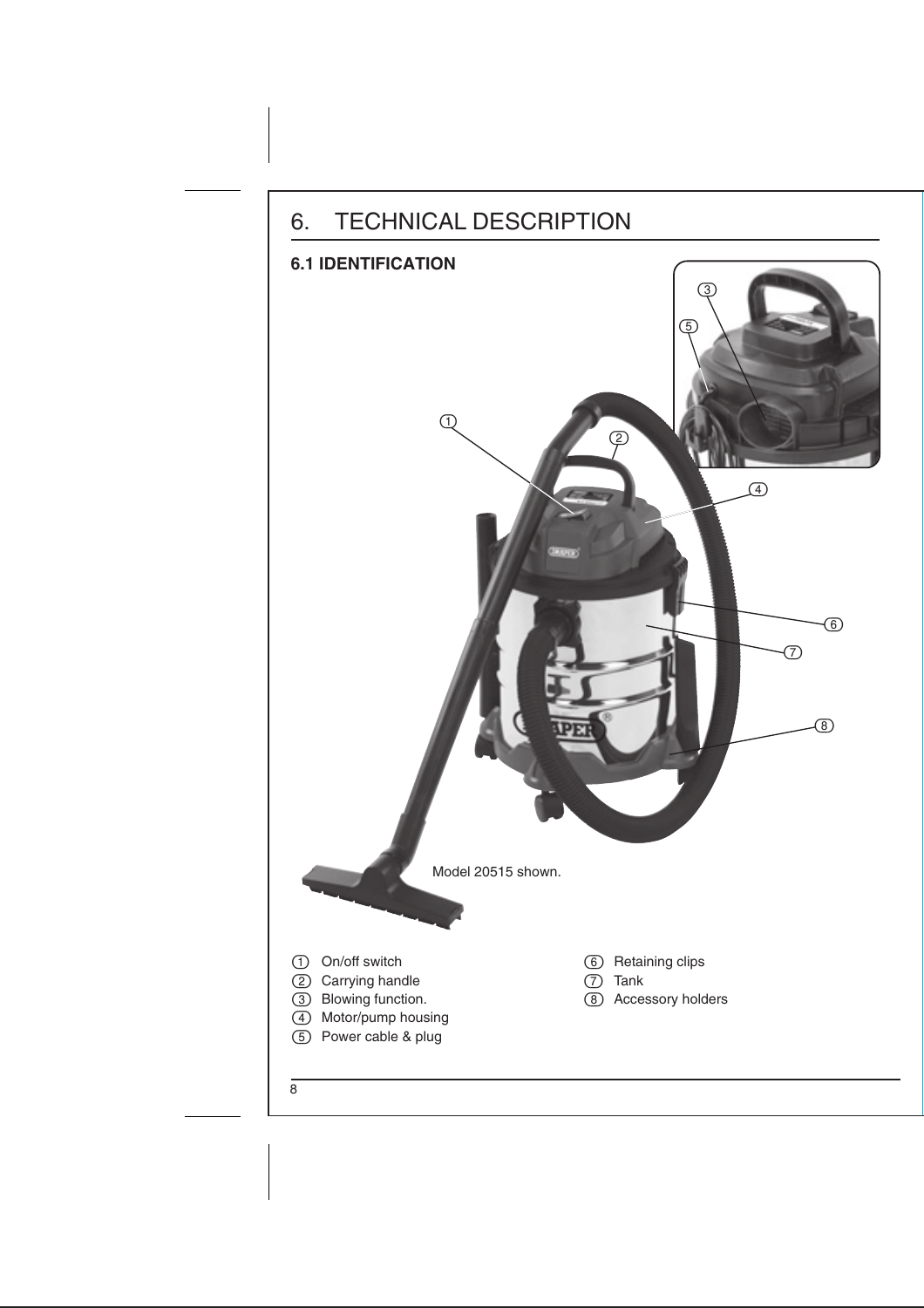### 6. TECHNICAL DESCRIPTION



 Power cable & plug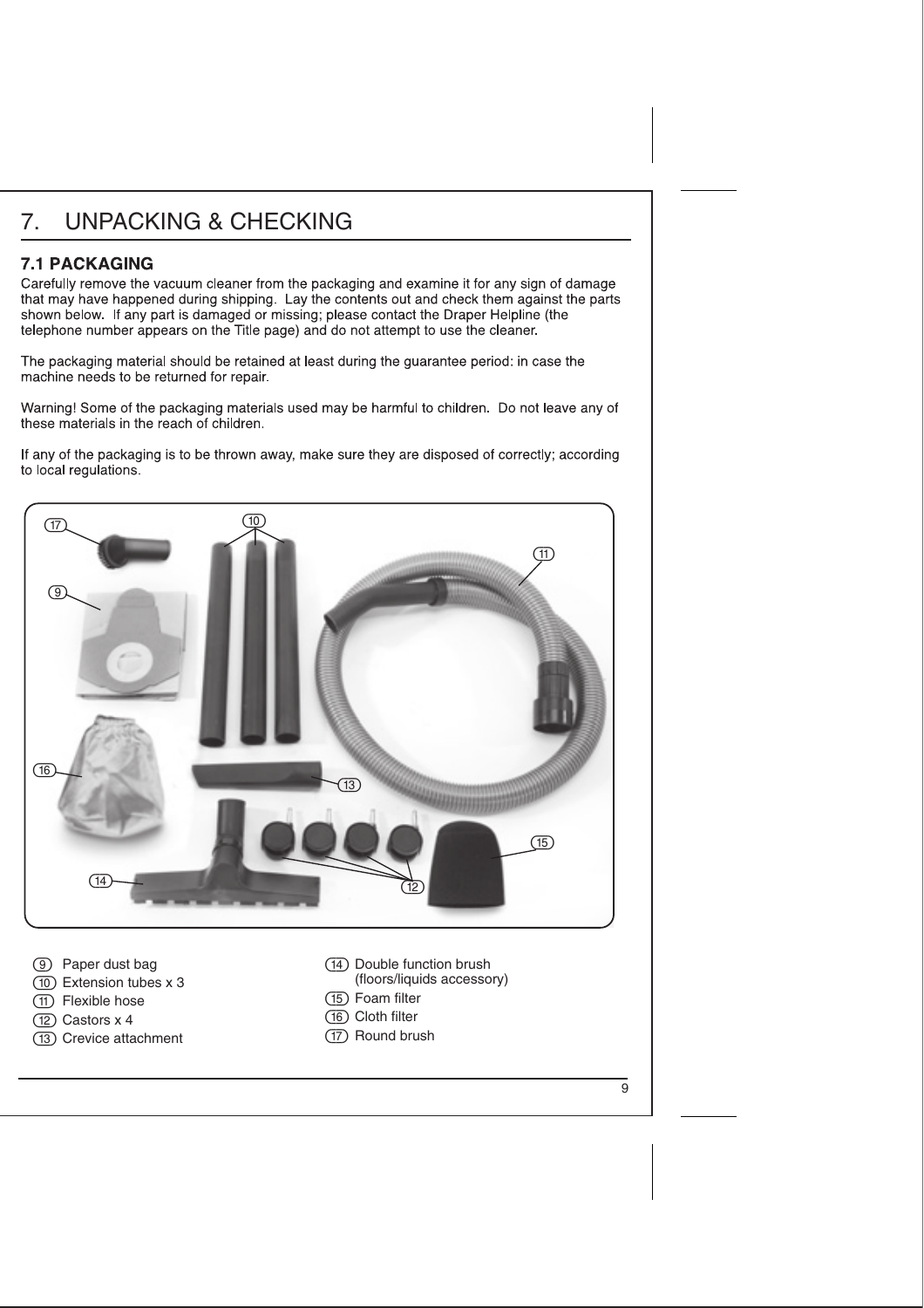# 7. UNPACKING & CHECKING

#### **7.1 PACKAGING**

Carefully remove the vacuum cleaner from the packaging and examine it for any sign of damage that may have happened during shipping. Lay the contents out and check them against the parts shown below. If any part is damaged or missing; please contact the Draper Helpline (the telephone number appears on the Title page) and do not attempt to use the cleaner.

The packaging material should be retained at least during the guarantee period: in case the machine needs to be returned for repair.

Warning! Some of the packaging materials used may be harmful to children. Do not leave any of these materials in the reach of children

If any of the packaging is to be thrown away, make sure they are disposed of correctly; according to local regulations.



- Paper dust bag
- Extension tubes x 3
- Flexible hose
- (12) Castors x 4
- (13) Crevice attachment
- Double function brush (floors/liquids accessory)
- Foam filter
- (16) Cloth filter
- (17) Round brush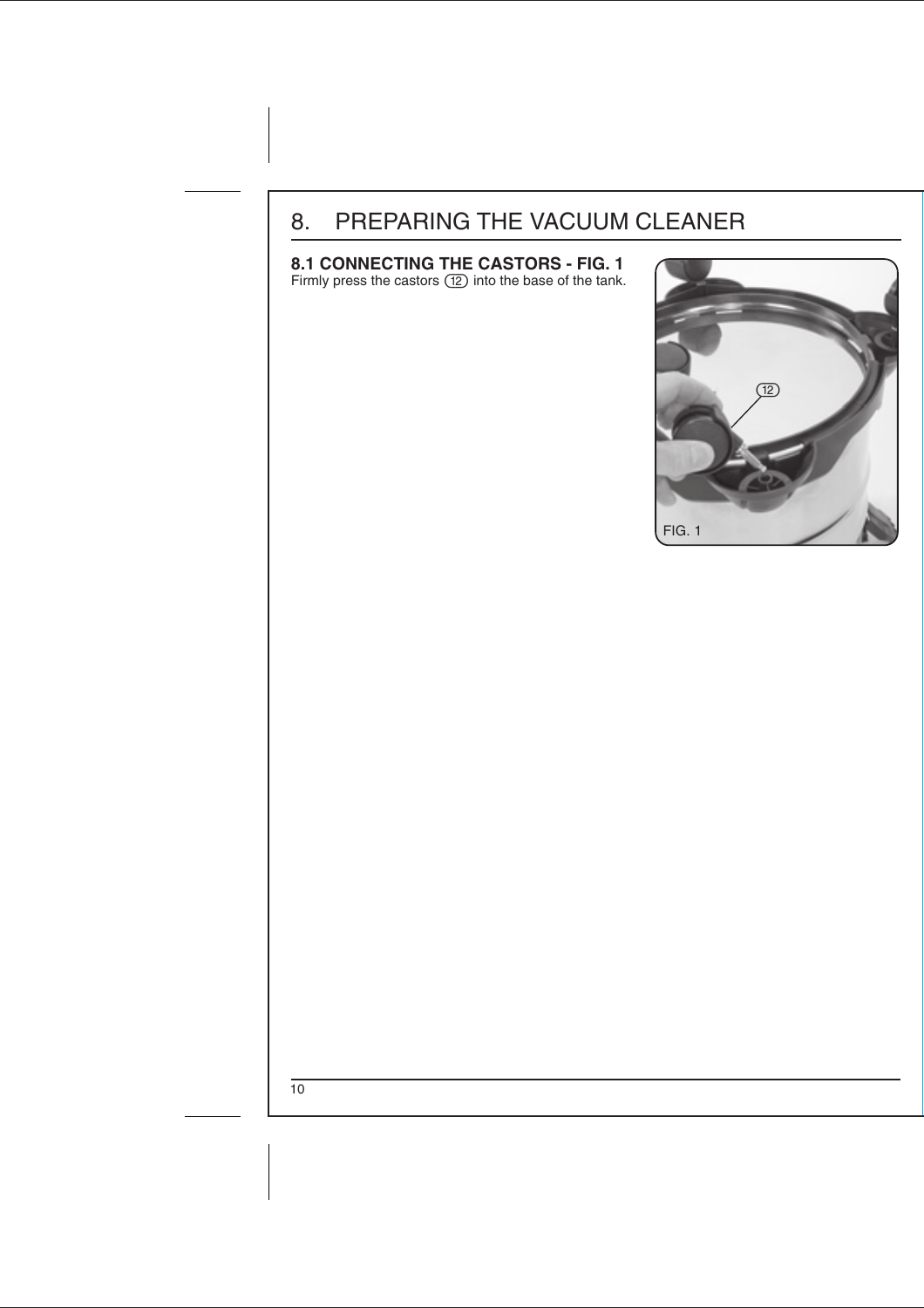# 8. PREPARING THE VACUUM CLEANER

#### **8.1 CONNECTING THE CASTORS - FIG. 1**

Firmly press the castors (12) into the base of the tank.

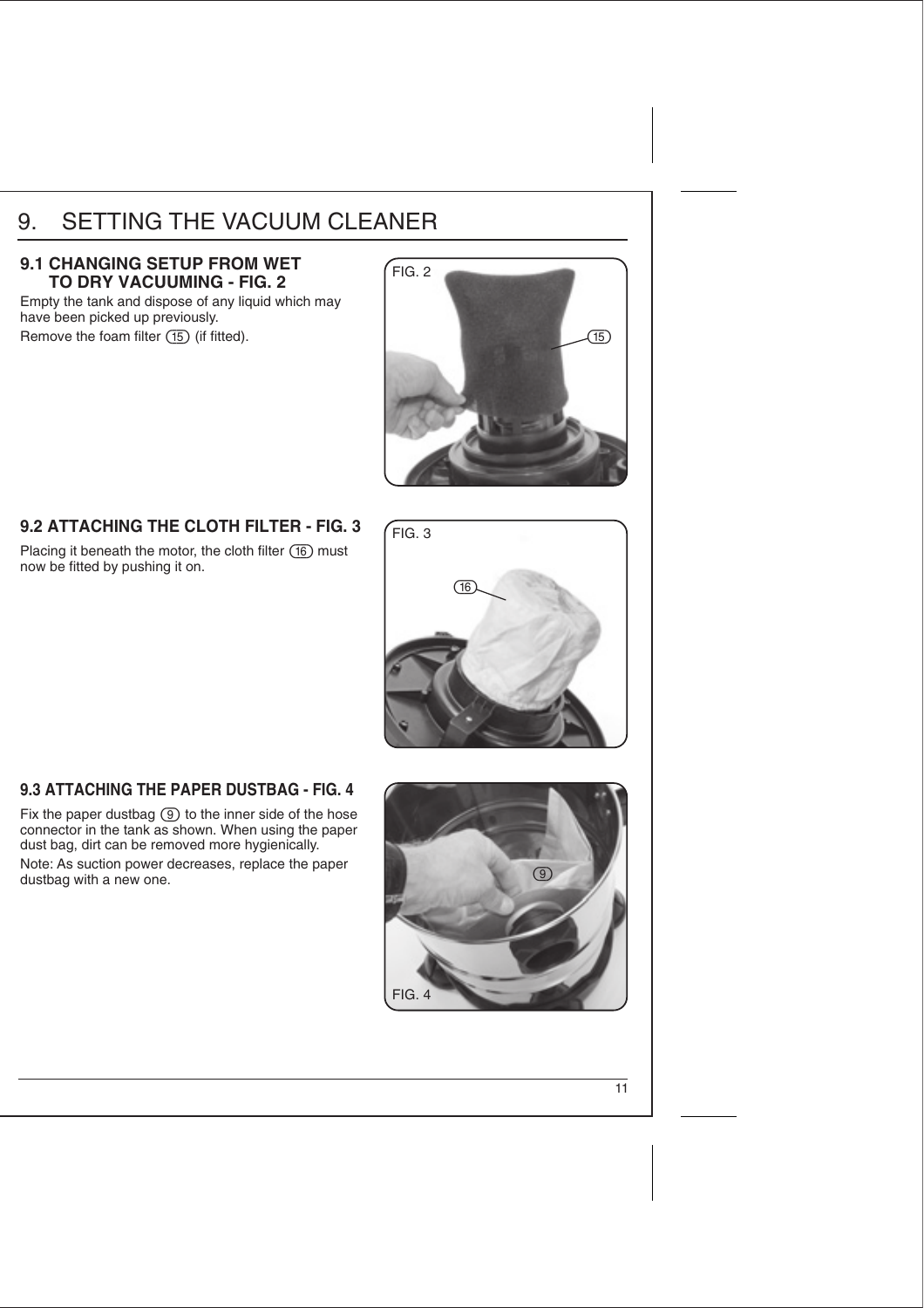### 9. SETTING THE VACUUM CLEANER

#### 9.1 CHANGING SETUP FROM WET **TO DRY VACUUMING - FIG. 2**

Empty the tank and dispose of any liquid which may have been picked up previously. Remove the foam filter  $(15)$  (if fitted).



### **9.2 ATTACHING THE CLOTH FILTER - FIG. 3**

Placing it beneath the motor, the cloth filter  $(16)$  must now be fitted by pushing it on.



#### **9.3 ATTACHING THE PAPER DUSTBAG - FIG. 4**

Fix the paper dustbag  $\circled{9}$  to the inner side of the hose connector in the tank as shown. When using the paper dust bag, dirt can be removed more hygienically. Note: As suction power decreases, replace the paper dustbag with a new one.

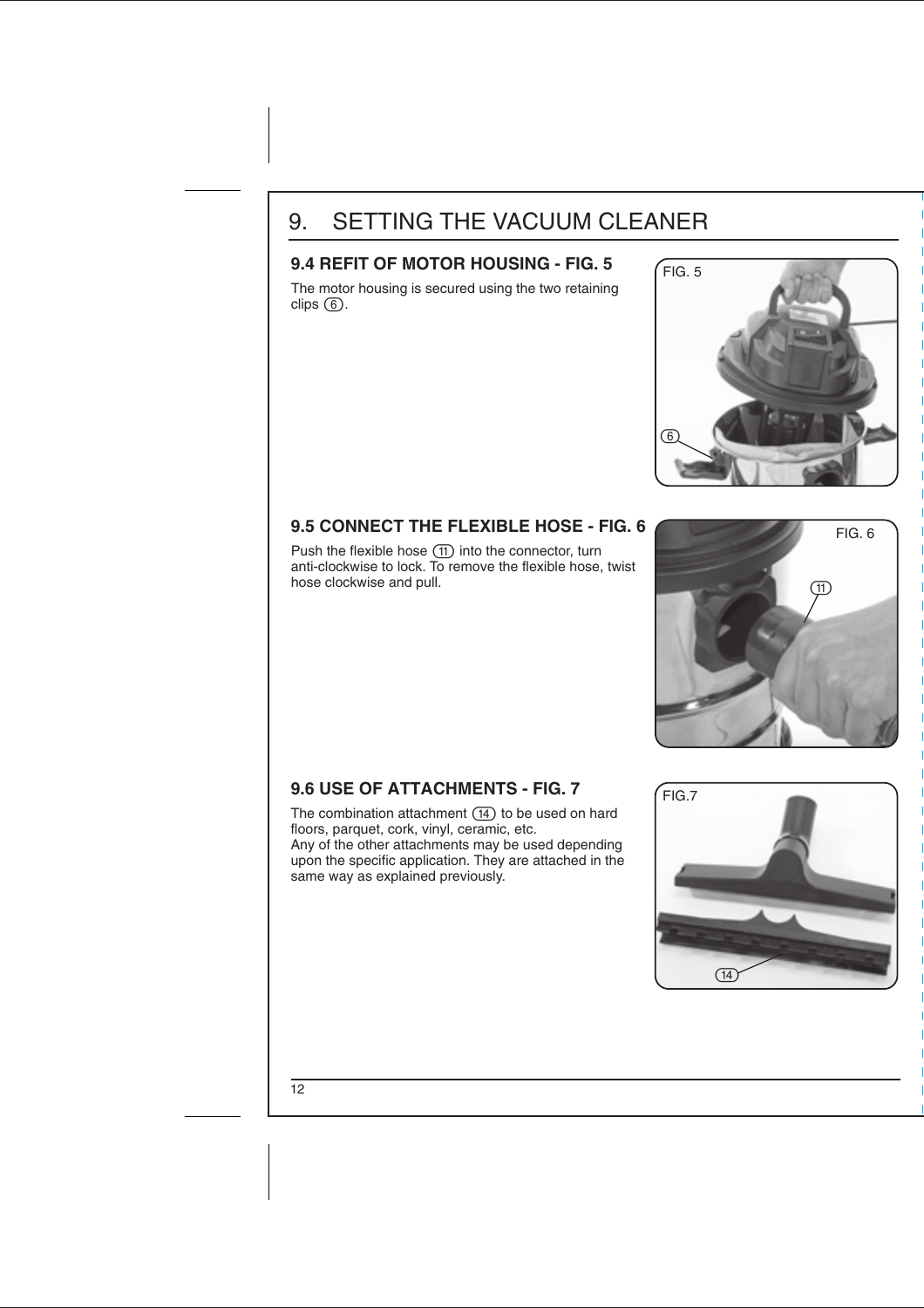### 9. SETTING THE VACUUM CLEANER

#### 9.4 REFIT OF MOTOR HOUSING - FIG. 5 **FIG. 5**

The motor housing is secured using the two retaining  $clips$   $\overline{6}$ .



### **9.5 CONNECT THE FLEXIBLE HOSE - FIG. 6 19.9 CONNECT THE FLEXIBLE HOSE - FIG. 6**

Push the flexible hose (11) into the connector, turn anti-clockwise to lock. To remove the flexible hose, twist hose clockwise and pull.



### 9.6 USE OF ATTACHMENTS - FIG. 7 **FIG. 7**

The combination attachment  $(14)$  to be used on hard floors, parquet, cork, vinyl, ceramic, etc.

Any of the other attachments may be used depending upon the specific application. They are attached in the same way as explained previously.

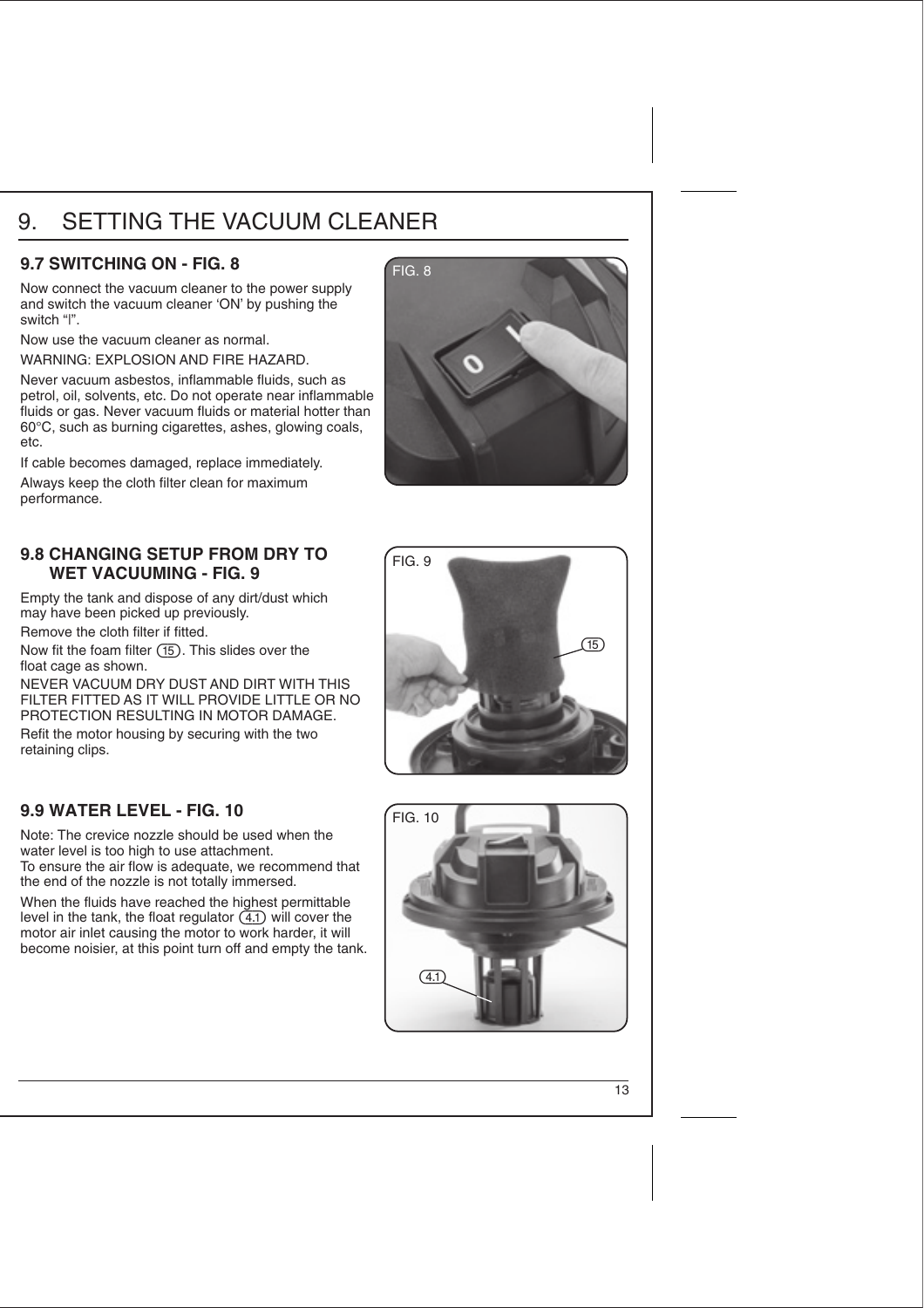# 9. SETTING THE VACUUM CLEANER

#### **9.7 SWITCHING ON - FIG. 8 FIG. 8**

Now connect the vacuum cleaner to the power supply and switch the vacuum cleaner 'ON' by pushing the switch "|".

Now use the vacuum cleaner as normal.

WARNING: EXPLOSION AND FIRE HAZARD.

Never vacuum asbestos, inflammable fluids, such as petrol, oil, solvents, etc. Do not operate near inflammable fluids or gas. Never vacuum fluids or material hotter than 60°C, such as burning cigarettes, ashes, glowing coals, etc.

If cable becomes damaged, replace immediately.

Always keep the cloth filter clean for maximum performance.

#### 9.8 CHANGING SETUP FROM DRY TO **FIG. 9 WET VACUUMING - FIG. 9**

Empty the tank and dispose of any dirt/dust which may have been picked up previously.

Remove the cloth filter if fitted.

Now fit the foam filter  $(15)$ . This slides over the float cage as shown.

NEVER VACUUM DRY DUST AND DIRT WITH THIS FILTER FITTED AS IT WILL PROVIDE LITTLE OR NO PROTECTION RESULTING IN MOTOR DAMAGE.

Refit the motor housing by securing with the two retaining clips.

### **9.9 WATER LEVEL - FIG. 10** FIG. 10

Note: The crevice nozzle should be used when the water level is too high to use attachment. To ensure the air flow is adequate, we recommend that the end of the nozzle is not totally immersed.

When the fluids have reached the highest permittable level in the tank, the float regulator  $(4.1)$  will cover the motor air inlet causing the motor to work harder, it will become noisier, at this point turn off and empty the tank.





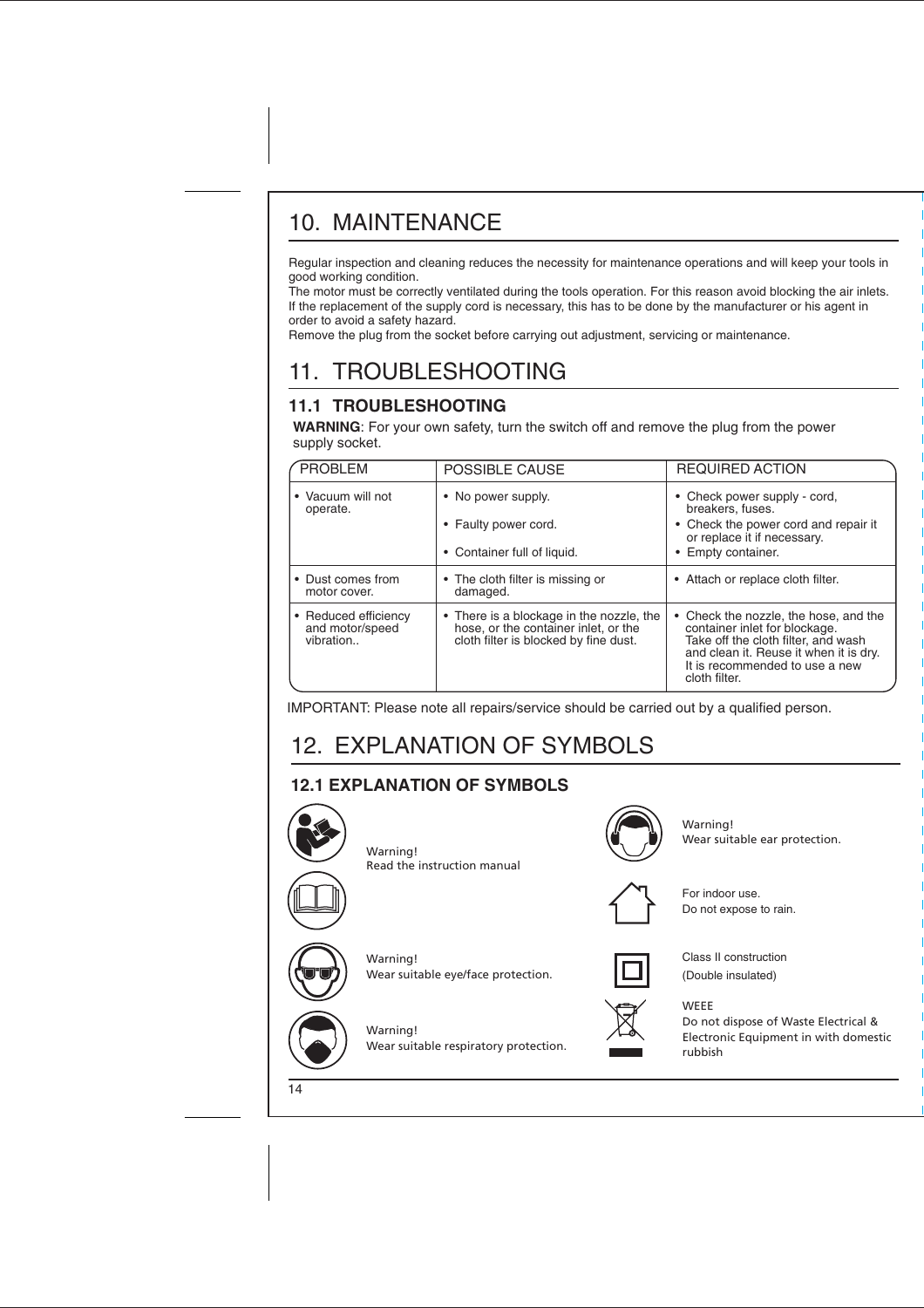Regular inspection and cleaning reduces the necessity for maintenance operations and will keep your tools in good working condition.

The motor must be correctly ventilated during the tools operation. For this reason avoid blocking the air inlets. If the replacement of the supply cord is necessary, this has to be done by the manufacturer or his agent in order to avoid a safety hazard.

Remove the plug from the socket before carrying out adjustment, servicing or maintenance.

# 11. TROUBLESHOOTING

### **11.1 TROUBLESHOOTING**

**WARNING**: For your own safety, turn the switch off and remove the plug from the power supply socket.

| <b>PROBLEM</b>                                       | POSSIBLE CAUSE                                                                                                            | <b>REQUIRED ACTION</b>                                                                                                                                                                                   |
|------------------------------------------------------|---------------------------------------------------------------------------------------------------------------------------|----------------------------------------------------------------------------------------------------------------------------------------------------------------------------------------------------------|
| • Vacuum will not<br>operate.                        | • No power supply.<br>• Faulty power cord.<br>• Container full of liquid.                                                 | • Check power supply - cord,<br>breakers, fuses.<br>• Check the power cord and repair it<br>or replace it if necessary.<br>• Empty container.                                                            |
| • Dust comes from<br>motor cover.                    | • The cloth filter is missing or<br>damaged.                                                                              | • Attach or replace cloth filter.                                                                                                                                                                        |
| • Reduced efficiency<br>and motor/speed<br>vibration | • There is a blockage in the nozzle, the<br>hose, or the container inlet, or the<br>cloth filter is blocked by fine dust. | Check the nozzle, the hose, and the<br>container inlet for blockage.<br>Take off the cloth filter, and wash<br>and clean it. Reuse it when it is dry.<br>It is recommended to use a new<br>cloth filter. |

IMPORTANT: Please note all repairs/service should be carried out by a qualified person.

# 12. EXPLANATION OF SYMBOLS

### **12.1 EXPLANATION OF SYMBOLS**



Warning! Read the instruction manual

Warning!



Warning! Wear suitable ear protection.



For indoor use. Do not expose to rain.



Class II construction (Double insulated)



**WEEE** 





Warning! Wear suitable respiratory protection.

Wear suitable eye/face protection.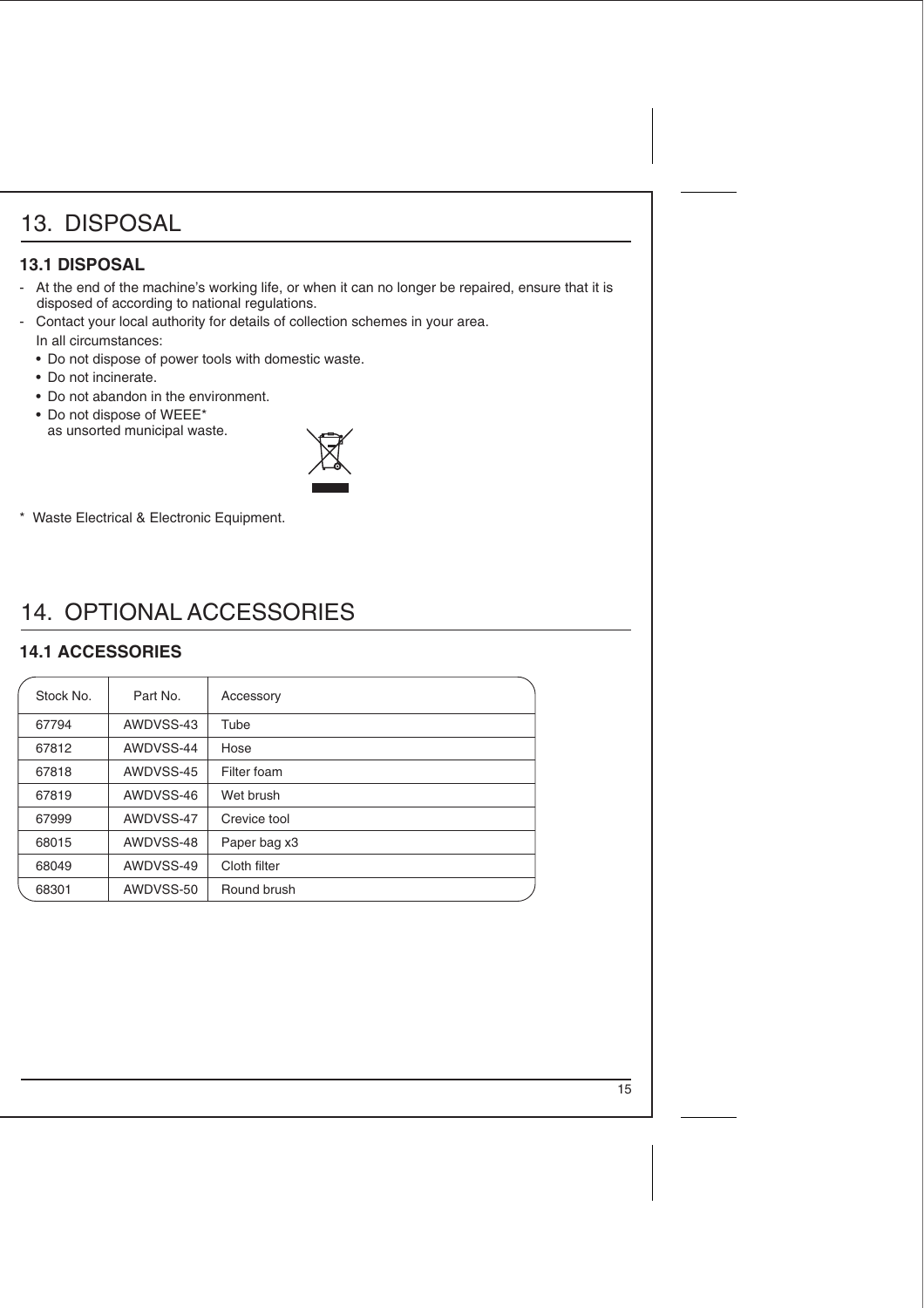#### **13.1 DISPOSAL**

- At the end of the machine's working life, or when it can no longer be repaired, ensure that it is disposed of according to national regulations.
- Contact your local authority for details of collection schemes in your area. In all circumstances:
	- Do not dispose of power tools with domestic waste.
	- Do not incinerate.
	- Do not abandon in the environment.
	- Do not dispose of WEEE\* as unsorted municipal waste.



\* Waste Electrical & Electronic Equipment.

# 14. OPTIONAL ACCESSORIES

### **14.1 ACCESSORIES**

| Stock No. | Part No.  | Accessory    |
|-----------|-----------|--------------|
| 67794     | AWDVSS-43 | Tube         |
| 67812     | AWDVSS-44 | Hose         |
| 67818     | AWDVSS-45 | Filter foam  |
| 67819     | AWDVSS-46 | Wet brush    |
| 67999     | AWDVSS-47 | Crevice tool |
| 68015     | AWDVSS-48 | Paper bag x3 |
| 68049     | AWDVSS-49 | Cloth filter |
| 68301     | AWDVSS-50 | Round brush  |